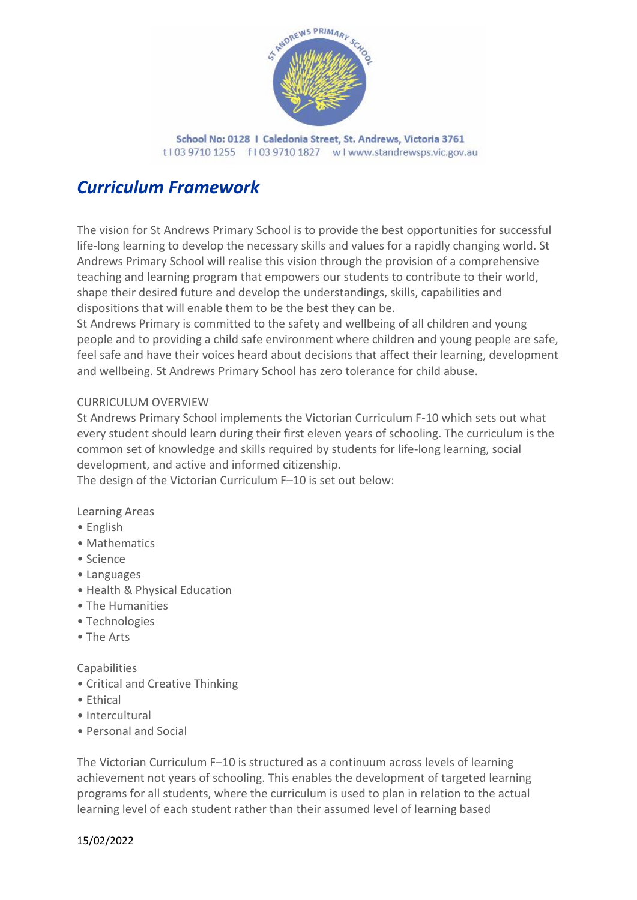

School No: 0128 | Caledonia Street, St. Andrews, Victoria 3761 t103 9710 1255 f103 9710 1827 w I www.standrewsps.vic.gov.au

# *Curriculum Framework*

The vision for St Andrews Primary School is to provide the best opportunities for successful life-long learning to develop the necessary skills and values for a rapidly changing world. St Andrews Primary School will realise this vision through the provision of a comprehensive teaching and learning program that empowers our students to contribute to their world, shape their desired future and develop the understandings, skills, capabilities and dispositions that will enable them to be the best they can be.

St Andrews Primary is committed to the safety and wellbeing of all children and young people and to providing a child safe environment where children and young people are safe, feel safe and have their voices heard about decisions that affect their learning, development and wellbeing. St Andrews Primary School has zero tolerance for child abuse.

### CURRICULUM OVERVIEW

St Andrews Primary School implements the Victorian Curriculum F-10 which sets out what every student should learn during their first eleven years of schooling. The curriculum is the common set of knowledge and skills required by students for life-long learning, social development, and active and informed citizenship.

The design of the Victorian Curriculum F–10 is set out below:

Learning Areas

- English
- Mathematics
- Science
- Languages
- Health & Physical Education
- The Humanities
- Technologies
- The Arts

#### **Capabilities**

- Critical and Creative Thinking
- Ethical
- Intercultural
- Personal and Social

The Victorian Curriculum F–10 is structured as a continuum across levels of learning achievement not years of schooling. This enables the development of targeted learning programs for all students, where the curriculum is used to plan in relation to the actual learning level of each student rather than their assumed level of learning based

#### 15/02/2022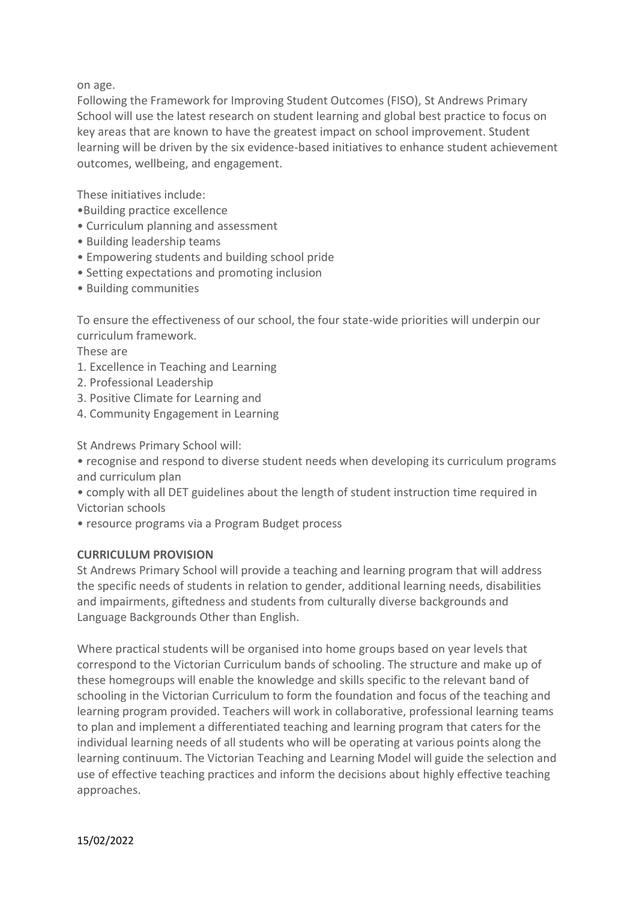on age.

Following the Framework for Improving Student Outcomes (FISO), St Andrews Primary School will use the latest research on student learning and global best practice to focus on key areas that are known to have the greatest impact on school improvement. Student learning will be driven by the six evidence-based initiatives to enhance student achievement outcomes, wellbeing, and engagement.

These initiatives include:

- •Building practice excellence
- Curriculum planning and assessment
- Building leadership teams
- Empowering students and building school pride
- Setting expectations and promoting inclusion
- Building communities

To ensure the effectiveness of our school, the four state-wide priorities will underpin our curriculum framework.

These are

- 1. Excellence in Teaching and Learning
- 2. Professional Leadership
- 3. Positive Climate for Learning and
- 4. Community Engagement in Learning

St Andrews Primary School will:

• recognise and respond to diverse student needs when developing its curriculum programs and curriculum plan

• comply with all DET guidelines about the length of student instruction time required in Victorian schools

• resource programs via a Program Budget process

#### **CURRICULUM PROVISION**

St Andrews Primary School will provide a teaching and learning program that will address the specific needs of students in relation to gender, additional learning needs, disabilities and impairments, giftedness and students from culturally diverse backgrounds and Language Backgrounds Other than English.

Where practical students will be organised into home groups based on year levels that correspond to the Victorian Curriculum bands of schooling. The structure and make up of these homegroups will enable the knowledge and skills specific to the relevant band of schooling in the Victorian Curriculum to form the foundation and focus of the teaching and learning program provided. Teachers will work in collaborative, professional learning teams to plan and implement a differentiated teaching and learning program that caters for the individual learning needs of all students who will be operating at various points along the learning continuum. The Victorian Teaching and Learning Model will guide the selection and use of effective teaching practices and inform the decisions about highly effective teaching approaches.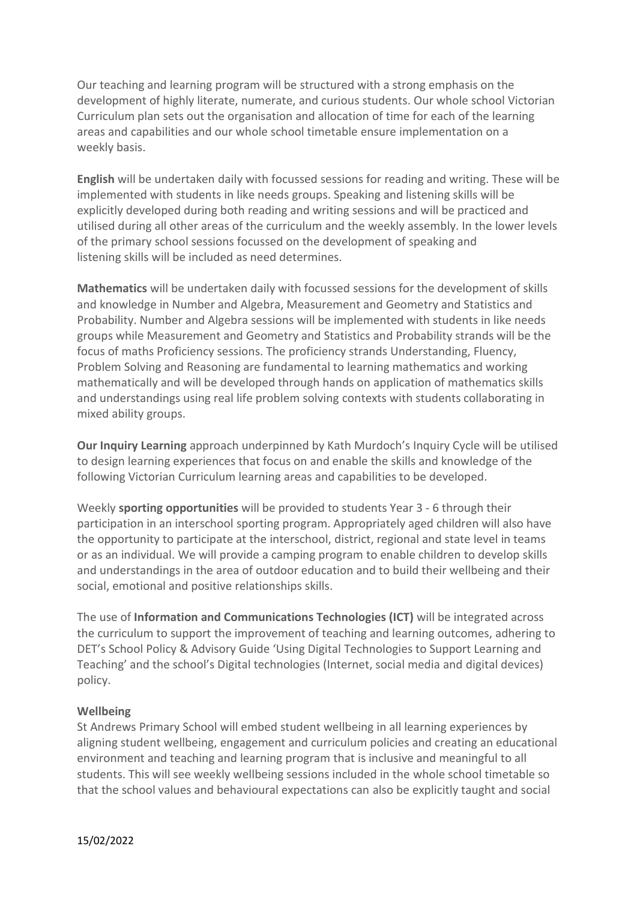Our teaching and learning program will be structured with a strong emphasis on the development of highly literate, numerate, and curious students. Our whole school Victorian Curriculum plan sets out the organisation and allocation of time for each of the learning areas and capabilities and our whole school timetable ensure implementation on a weekly basis.

**English** will be undertaken daily with focussed sessions for reading and writing. These will be implemented with students in like needs groups. Speaking and listening skills will be explicitly developed during both reading and writing sessions and will be practiced and utilised during all other areas of the curriculum and the weekly assembly. In the lower levels of the primary school sessions focussed on the development of speaking and listening skills will be included as need determines.

**Mathematics** will be undertaken daily with focussed sessions for the development of skills and knowledge in Number and Algebra, Measurement and Geometry and Statistics and Probability. Number and Algebra sessions will be implemented with students in like needs groups while Measurement and Geometry and Statistics and Probability strands will be the focus of maths Proficiency sessions. The proficiency strands Understanding, Fluency, Problem Solving and Reasoning are fundamental to learning mathematics and working mathematically and will be developed through hands on application of mathematics skills and understandings using real life problem solving contexts with students collaborating in mixed ability groups.

**Our Inquiry Learning** approach underpinned by Kath Murdoch's Inquiry Cycle will be utilised to design learning experiences that focus on and enable the skills and knowledge of the following Victorian Curriculum learning areas and capabilities to be developed.

Weekly **sporting opportunities** will be provided to students Year 3 - 6 through their participation in an interschool sporting program. Appropriately aged children will also have the opportunity to participate at the interschool, district, regional and state level in teams or as an individual. We will provide a camping program to enable children to develop skills and understandings in the area of outdoor education and to build their wellbeing and their social, emotional and positive relationships skills.

The use of **Information and Communications Technologies (ICT)** will be integrated across the curriculum to support the improvement of teaching and learning outcomes, adhering to DET's School Policy & Advisory Guide 'Using Digital Technologies to Support Learning and Teaching' and the school's Digital technologies (Internet, social media and digital devices) policy.

### **Wellbeing**

St Andrews Primary School will embed student wellbeing in all learning experiences by aligning student wellbeing, engagement and curriculum policies and creating an educational environment and teaching and learning program that is inclusive and meaningful to all students. This will see weekly wellbeing sessions included in the whole school timetable so that the school values and behavioural expectations can also be explicitly taught and social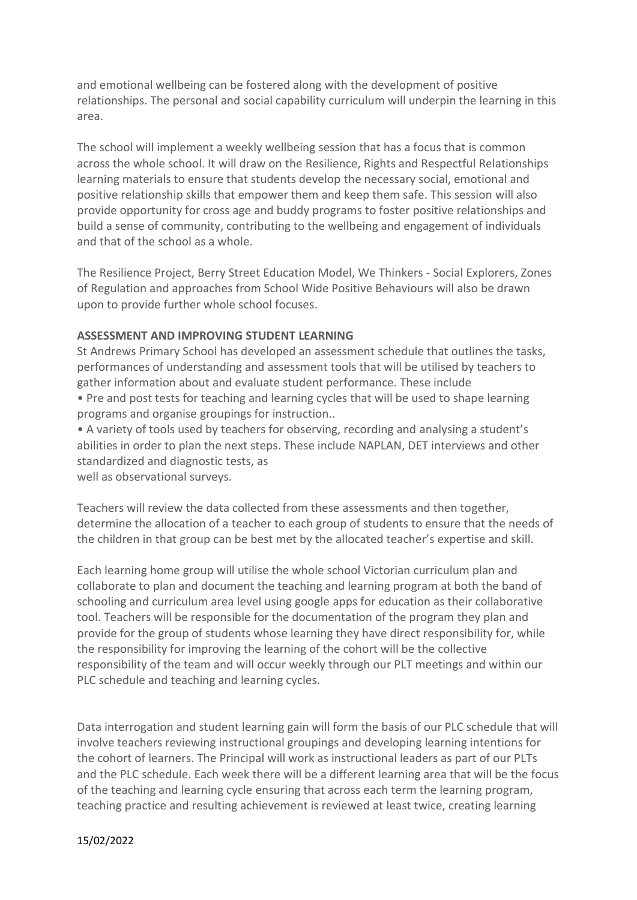and emotional wellbeing can be fostered along with the development of positive relationships. The personal and social capability curriculum will underpin the learning in this area.

The school will implement a weekly wellbeing session that has a focus that is common across the whole school. It will draw on the Resilience, Rights and Respectful Relationships learning materials to ensure that students develop the necessary social, emotional and positive relationship skills that empower them and keep them safe. This session will also provide opportunity for cross age and buddy programs to foster positive relationships and build a sense of community, contributing to the wellbeing and engagement of individuals and that of the school as a whole.

The Resilience Project, Berry Street Education Model, We Thinkers - Social Explorers, Zones of Regulation and approaches from School Wide Positive Behaviours will also be drawn upon to provide further whole school focuses.

#### **ASSESSMENT AND IMPROVING STUDENT LEARNING**

St Andrews Primary School has developed an assessment schedule that outlines the tasks, performances of understanding and assessment tools that will be utilised by teachers to gather information about and evaluate student performance. These include

• Pre and post tests for teaching and learning cycles that will be used to shape learning programs and organise groupings for instruction..

• A variety of tools used by teachers for observing, recording and analysing a student's abilities in order to plan the next steps. These include NAPLAN, DET interviews and other standardized and diagnostic tests, as

well as observational surveys.

Teachers will review the data collected from these assessments and then together, determine the allocation of a teacher to each group of students to ensure that the needs of the children in that group can be best met by the allocated teacher's expertise and skill.

Each learning home group will utilise the whole school Victorian curriculum plan and collaborate to plan and document the teaching and learning program at both the band of schooling and curriculum area level using google apps for education as their collaborative tool. Teachers will be responsible for the documentation of the program they plan and provide for the group of students whose learning they have direct responsibility for, while the responsibility for improving the learning of the cohort will be the collective responsibility of the team and will occur weekly through our PLT meetings and within our PLC schedule and teaching and learning cycles.

Data interrogation and student learning gain will form the basis of our PLC schedule that will involve teachers reviewing instructional groupings and developing learning intentions for the cohort of learners. The Principal will work as instructional leaders as part of our PLTs and the PLC schedule. Each week there will be a different learning area that will be the focus of the teaching and learning cycle ensuring that across each term the learning program, teaching practice and resulting achievement is reviewed at least twice, creating learning

#### 15/02/2022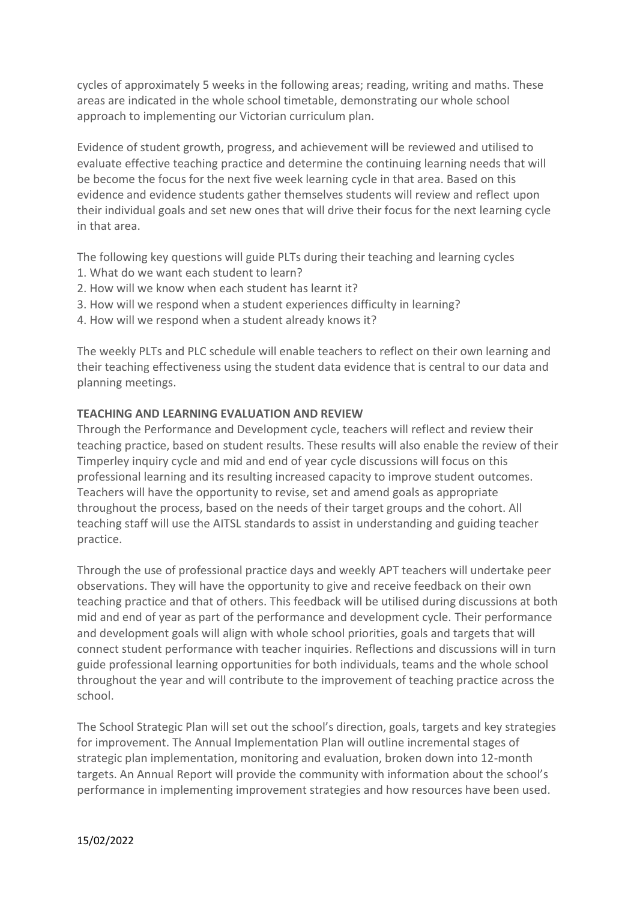cycles of approximately 5 weeks in the following areas; reading, writing and maths. These areas are indicated in the whole school timetable, demonstrating our whole school approach to implementing our Victorian curriculum plan.

Evidence of student growth, progress, and achievement will be reviewed and utilised to evaluate effective teaching practice and determine the continuing learning needs that will be become the focus for the next five week learning cycle in that area. Based on this evidence and evidence students gather themselves students will review and reflect upon their individual goals and set new ones that will drive their focus for the next learning cycle in that area.

The following key questions will guide PLTs during their teaching and learning cycles

- 1. What do we want each student to learn?
- 2. How will we know when each student has learnt it?
- 3. How will we respond when a student experiences difficulty in learning?
- 4. How will we respond when a student already knows it?

The weekly PLTs and PLC schedule will enable teachers to reflect on their own learning and their teaching effectiveness using the student data evidence that is central to our data and planning meetings.

#### **TEACHING AND LEARNING EVALUATION AND REVIEW**

Through the Performance and Development cycle, teachers will reflect and review their teaching practice, based on student results. These results will also enable the review of their Timperley inquiry cycle and mid and end of year cycle discussions will focus on this professional learning and its resulting increased capacity to improve student outcomes. Teachers will have the opportunity to revise, set and amend goals as appropriate throughout the process, based on the needs of their target groups and the cohort. All teaching staff will use the AITSL standards to assist in understanding and guiding teacher practice.

Through the use of professional practice days and weekly APT teachers will undertake peer observations. They will have the opportunity to give and receive feedback on their own teaching practice and that of others. This feedback will be utilised during discussions at both mid and end of year as part of the performance and development cycle. Their performance and development goals will align with whole school priorities, goals and targets that will connect student performance with teacher inquiries. Reflections and discussions will in turn guide professional learning opportunities for both individuals, teams and the whole school throughout the year and will contribute to the improvement of teaching practice across the school.

The School Strategic Plan will set out the school's direction, goals, targets and key strategies for improvement. The Annual Implementation Plan will outline incremental stages of strategic plan implementation, monitoring and evaluation, broken down into 12-month targets. An Annual Report will provide the community with information about the school's performance in implementing improvement strategies and how resources have been used.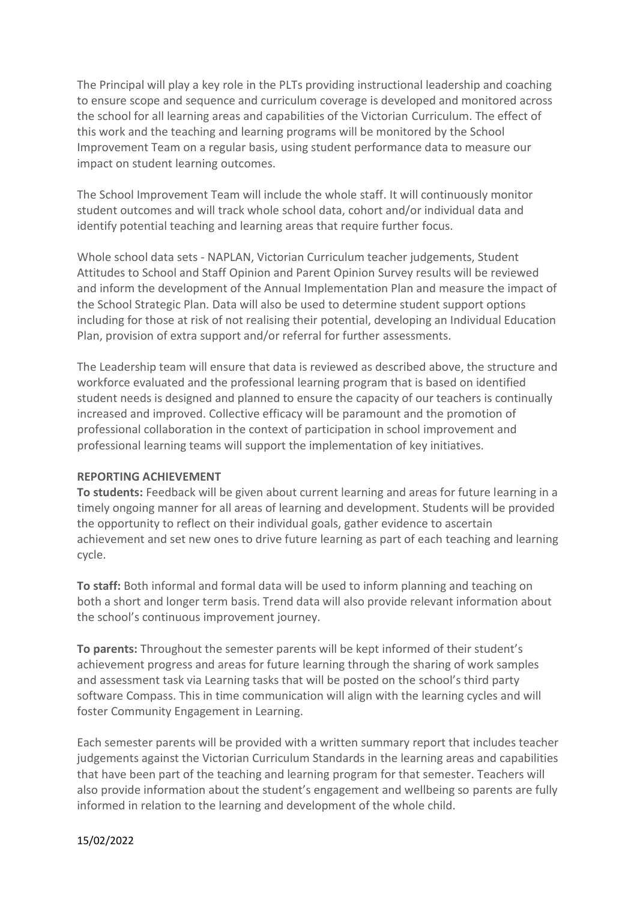The Principal will play a key role in the PLTs providing instructional leadership and coaching to ensure scope and sequence and curriculum coverage is developed and monitored across the school for all learning areas and capabilities of the Victorian Curriculum. The effect of this work and the teaching and learning programs will be monitored by the School Improvement Team on a regular basis, using student performance data to measure our impact on student learning outcomes.

The School Improvement Team will include the whole staff. It will continuously monitor student outcomes and will track whole school data, cohort and/or individual data and identify potential teaching and learning areas that require further focus.

Whole school data sets - NAPLAN, Victorian Curriculum teacher judgements, Student Attitudes to School and Staff Opinion and Parent Opinion Survey results will be reviewed and inform the development of the Annual Implementation Plan and measure the impact of the School Strategic Plan. Data will also be used to determine student support options including for those at risk of not realising their potential, developing an Individual Education Plan, provision of extra support and/or referral for further assessments.

The Leadership team will ensure that data is reviewed as described above, the structure and workforce evaluated and the professional learning program that is based on identified student needs is designed and planned to ensure the capacity of our teachers is continually increased and improved. Collective efficacy will be paramount and the promotion of professional collaboration in the context of participation in school improvement and professional learning teams will support the implementation of key initiatives.

#### **REPORTING ACHIEVEMENT**

**To students:** Feedback will be given about current learning and areas for future learning in a timely ongoing manner for all areas of learning and development. Students will be provided the opportunity to reflect on their individual goals, gather evidence to ascertain achievement and set new ones to drive future learning as part of each teaching and learning cycle.

**To staff:** Both informal and formal data will be used to inform planning and teaching on both a short and longer term basis. Trend data will also provide relevant information about the school's continuous improvement journey.

**To parents:** Throughout the semester parents will be kept informed of their student's achievement progress and areas for future learning through the sharing of work samples and assessment task via Learning tasks that will be posted on the school's third party software Compass. This in time communication will align with the learning cycles and will foster Community Engagement in Learning.

Each semester parents will be provided with a written summary report that includes teacher judgements against the Victorian Curriculum Standards in the learning areas and capabilities that have been part of the teaching and learning program for that semester. Teachers will also provide information about the student's engagement and wellbeing so parents are fully informed in relation to the learning and development of the whole child.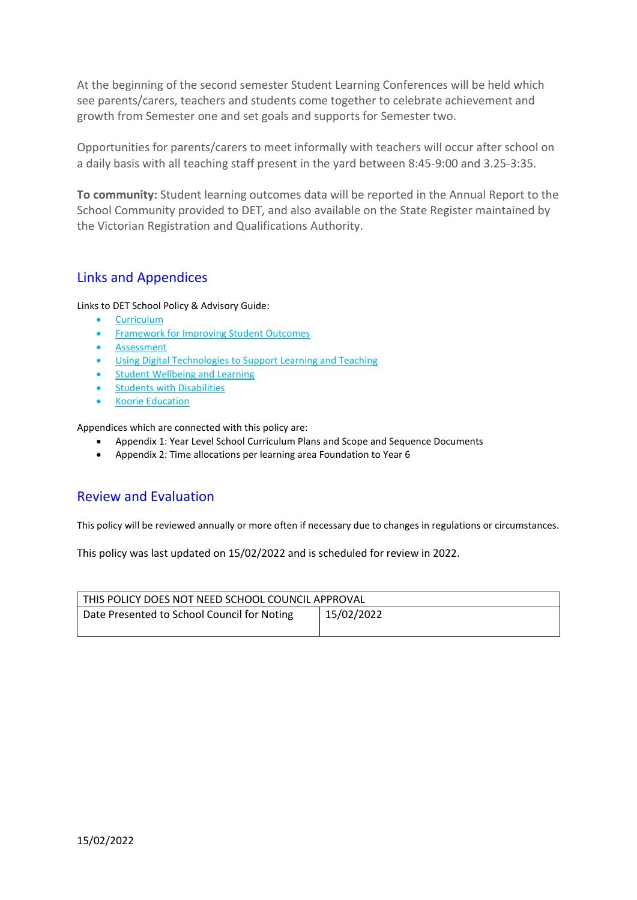At the beginning of the second semester Student Learning Conferences will be held which see parents/carers, teachers and students come together to celebrate achievement and growth from Semester one and set goals and supports for Semester two.

Opportunities for parents/carers to meet informally with teachers will occur after school on a daily basis with all teaching staff present in the yard between 8:45-9:00 and 3.25-3:35.

**To community:** Student learning outcomes data will be reported in the Annual Report to the School Community provided to DET, and also available on the State Register maintained by the Victorian Registration and Qualifications Authority.

## Links and Appendices

Links to DET School Policy & Advisory Guide:

- [Curriculum](http://www.education.vic.gov.au/school/principals/spag/curriculum/pages/curriculum.aspx)
- [Framework for Improving Student Outcomes](https://edugate.eduweb.vic.gov.au/edrms/project/fiso/SitePages/Home.aspx?Redirect=1)
- [Assessment](http://www.education.vic.gov.au/school/teachers/teachingresources/interdisciplinary/designtech/Pages/assessment.aspx)
- [Using Digital Technologies to Support Learning and Teaching](http://www.education.vic.gov.au/school/principals/spag/curriculum/Pages/techsupport.aspx)
- [Student Wellbeing and Learning](http://www.education.vic.gov.au/school/principals/spag/curriculum/Pages/wellbeing.aspx)
- **[Students with Disabilities](http://www.education.vic.gov.au/school/teachers/health/Pages/disabilities.aspx)**
- [Koorie Education](http://www.education.vic.gov.au/school/principals/spag/curriculum/pages/koorie.aspx)

Appendices which are connected with this policy are:

- Appendix 1: Year Level School Curriculum Plans and Scope and Sequence Documents
- Appendix 2: Time allocations per learning area Foundation to Year 6

## Review and Evaluation

This policy will be reviewed annually or more often if necessary due to changes in regulations or circumstances.

This policy was last updated on 15/02/2022 and is scheduled for review in 2022.

| THIS POLICY DOES NOT NEED SCHOOL COUNCIL APPROVAL |            |
|---------------------------------------------------|------------|
| Date Presented to School Council for Noting       | 15/02/2022 |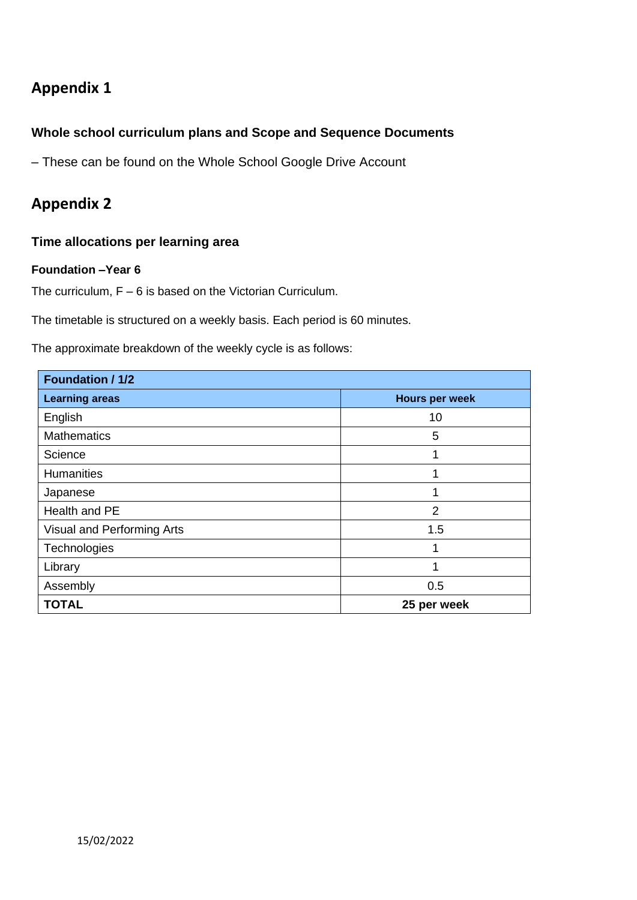## **Appendix 1**

## **Whole school curriculum plans and Scope and Sequence Documents**

– These can be found on the Whole School Google Drive Account

## **Appendix 2**

## **Time allocations per learning area**

#### **Foundation –Year 6**

The curriculum, F – 6 is based on the Victorian Curriculum.

The timetable is structured on a weekly basis. Each period is 60 minutes.

The approximate breakdown of the weekly cycle is as follows:

| Foundation / 1/2           |                       |  |
|----------------------------|-----------------------|--|
| <b>Learning areas</b>      | <b>Hours per week</b> |  |
| English                    | 10                    |  |
| <b>Mathematics</b>         | 5                     |  |
| Science                    | 4                     |  |
| <b>Humanities</b>          | и                     |  |
| Japanese                   | 1                     |  |
| Health and PE              | $\overline{2}$        |  |
| Visual and Performing Arts | 1.5                   |  |
| Technologies               | ↿                     |  |
| Library                    | 1                     |  |
| Assembly                   | 0.5                   |  |
| <b>TOTAL</b>               | 25 per week           |  |